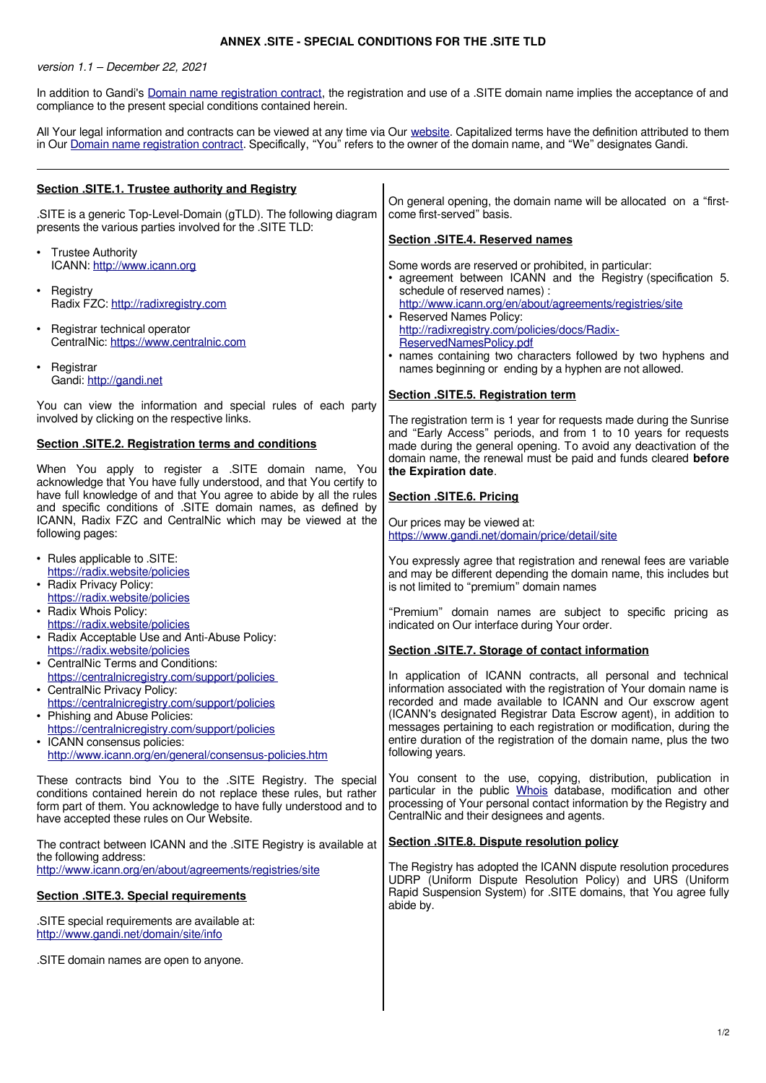## **ANNEX .SITE - SPECIAL CONDITIONS FOR THE .SITE TLD**

version 1.1 – December 22, 2021

In addition to Gandi's [Domain name registration contract,](https://www.gandi.net/en/contracts/terms-of-service) the registration and use of a .SITE domain name implies the acceptance of and compliance to the present special conditions contained herein.

All Your legal information and contracts can be viewed at any time via Our [website.](http://www.gandi.net/) Capitalized terms have the definition attributed to them in Our [Domain name registration contract.](https://www.gandi.net/en/contracts/terms-of-service) Specifically, "You" refers to the owner of the domain name, and "We" designates Gandi.

| Section .SITE.1. Trustee authority and Registry                                                                                                                                                                                                                                                                                                        |                                                                                                                                                                                                                                                                                                                                                                                                                                            |
|--------------------------------------------------------------------------------------------------------------------------------------------------------------------------------------------------------------------------------------------------------------------------------------------------------------------------------------------------------|--------------------------------------------------------------------------------------------------------------------------------------------------------------------------------------------------------------------------------------------------------------------------------------------------------------------------------------------------------------------------------------------------------------------------------------------|
| .SITE is a generic Top-Level-Domain (gTLD). The following diagram<br>presents the various parties involved for the .SITE TLD:                                                                                                                                                                                                                          | On general opening, the domain name will be allocated on a "first-<br>come first-served" basis.                                                                                                                                                                                                                                                                                                                                            |
|                                                                                                                                                                                                                                                                                                                                                        | Section .SITE.4. Reserved names                                                                                                                                                                                                                                                                                                                                                                                                            |
| • Trustee Authority<br>ICANN: http://www.icann.org<br>• Registry<br>Radix FZC: http://radixregistry.com<br>Registrar technical operator<br>$\bullet$                                                                                                                                                                                                   | Some words are reserved or prohibited, in particular:<br>• agreement between ICANN and the Registry (specification 5.<br>schedule of reserved names) :<br>http://www.icann.org/en/about/agreements/registries/site<br>• Reserved Names Policy:<br>http://radixregistry.com/policies/docs/Radix-                                                                                                                                            |
| CentralNic: https://www.centralnic.com                                                                                                                                                                                                                                                                                                                 | ReservedNamesPolicy.pdf<br>• names containing two characters followed by two hyphens and                                                                                                                                                                                                                                                                                                                                                   |
| • Registrar<br>Gandi: http://gandi.net                                                                                                                                                                                                                                                                                                                 | names beginning or ending by a hyphen are not allowed.                                                                                                                                                                                                                                                                                                                                                                                     |
| You can view the information and special rules of each party<br>involved by clicking on the respective links.                                                                                                                                                                                                                                          | Section .SITE.5. Registration term<br>The registration term is 1 year for requests made during the Sunrise<br>and "Early Access" periods, and from 1 to 10 years for requests                                                                                                                                                                                                                                                              |
| <b>Section .SITE.2. Registration terms and conditions</b><br>When You apply to register a .SITE domain name, You                                                                                                                                                                                                                                       | made during the general opening. To avoid any deactivation of the<br>domain name, the renewal must be paid and funds cleared before                                                                                                                                                                                                                                                                                                        |
| acknowledge that You have fully understood, and that You certify to<br>have full knowledge of and that You agree to abide by all the rules                                                                                                                                                                                                             | the Expiration date.                                                                                                                                                                                                                                                                                                                                                                                                                       |
| and specific conditions of .SITE domain names, as defined by                                                                                                                                                                                                                                                                                           | Section .SITE.6. Pricing                                                                                                                                                                                                                                                                                                                                                                                                                   |
| ICANN, Radix FZC and CentralNic which may be viewed at the<br>following pages:                                                                                                                                                                                                                                                                         | Our prices may be viewed at:<br>https://www.gandi.net/domain/price/detail/site                                                                                                                                                                                                                                                                                                                                                             |
| . Rules applicable to .SITE:<br>https://radix.website/policies<br>• Radix Privacy Policy:<br>https://radix.website/policies<br>• Radix Whois Policy:<br>https://radix.website/policies                                                                                                                                                                 | You expressly agree that registration and renewal fees are variable<br>and may be different depending the domain name, this includes but<br>is not limited to "premium" domain names<br>"Premium" domain names are subject to specific pricing as<br>indicated on Our interface during Your order.                                                                                                                                         |
| • Radix Acceptable Use and Anti-Abuse Policy:<br>https://radix.website/policies                                                                                                                                                                                                                                                                        | Section .SITE.7. Storage of contact information                                                                                                                                                                                                                                                                                                                                                                                            |
| • CentralNic Terms and Conditions:<br>https://centralnicregistry.com/support/policies<br>• CentralNic Privacy Policy:<br>https://centralnicregistry.com/support/policies<br>• Phishing and Abuse Policies:<br>https://centralnicregistry.com/support/policies<br>• ICANN consensus policies:<br>http://www.icann.org/en/general/consensus-policies.htm | In application of ICANN contracts, all personal and technical<br>information associated with the registration of Your domain name is<br>recorded and made available to ICANN and Our exscrow agent<br>(ICANN's designated Registrar Data Escrow agent), in addition to<br>messages pertaining to each registration or modification, during the<br>entire duration of the registration of the domain name, plus the two<br>following years. |
| These contracts bind You to the .SITE Registry. The special<br>conditions contained herein do not replace these rules, but rather<br>form part of them. You acknowledge to have fully understood and to<br>have accepted these rules on Our Website.                                                                                                   | You consent to the use, copying, distribution, publication in<br>particular in the public Whois database, modification and other<br>processing of Your personal contact information by the Registry and<br>CentralNic and their designees and agents.                                                                                                                                                                                      |
| The contract between ICANN and the .SITE Registry is available at<br>the following address:                                                                                                                                                                                                                                                            | Section .SITE.8. Dispute resolution policy                                                                                                                                                                                                                                                                                                                                                                                                 |
| http://www.icann.org/en/about/agreements/registries/site                                                                                                                                                                                                                                                                                               | The Registry has adopted the ICANN dispute resolution procedures<br>UDRP (Uniform Dispute Resolution Policy) and URS (Uniform<br>Rapid Suspension System) for .SITE domains, that You agree fully                                                                                                                                                                                                                                          |
| <b>Section .SITE.3. Special requirements</b>                                                                                                                                                                                                                                                                                                           | abide by.                                                                                                                                                                                                                                                                                                                                                                                                                                  |
| .SITE special requirements are available at:<br>http://www.gandi.net/domain/site/info                                                                                                                                                                                                                                                                  |                                                                                                                                                                                                                                                                                                                                                                                                                                            |
| .SITE domain names are open to anyone.                                                                                                                                                                                                                                                                                                                 |                                                                                                                                                                                                                                                                                                                                                                                                                                            |
|                                                                                                                                                                                                                                                                                                                                                        |                                                                                                                                                                                                                                                                                                                                                                                                                                            |